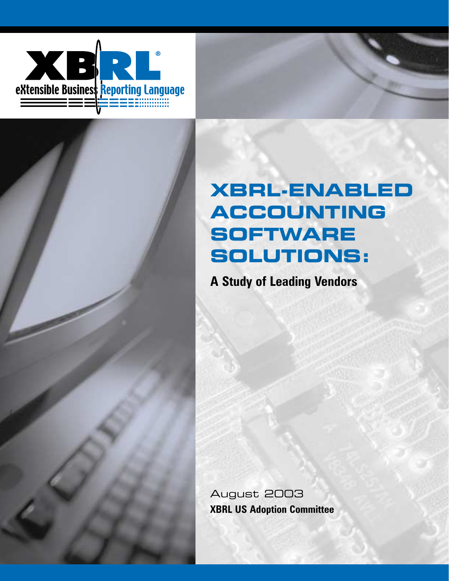



# **XBRL-ENABLED ACCOUNTING SOFTWARE SOLUTIONS:**

**A Study of Leading Vendors**

August 2003 **XBRL US Adoption Committee**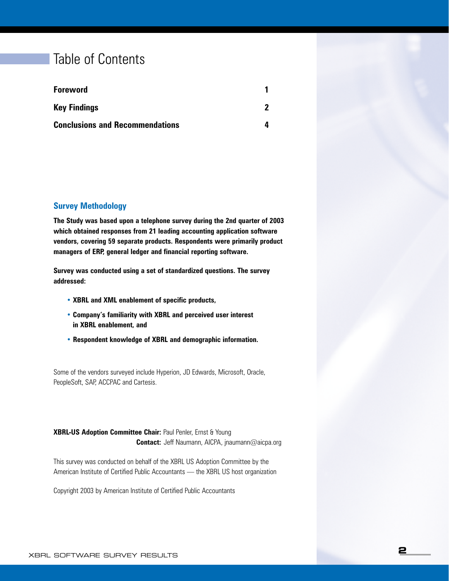### Table of Contents

| <b>Foreword</b>                        |  |
|----------------------------------------|--|
| <b>Key Findings</b>                    |  |
| <b>Conclusions and Recommendations</b> |  |

#### **Survey Methodology**

**The Study was based upon a telephone survey during the 2nd quarter of 2003 which obtained responses from 21 leading accounting application software vendors, covering 59 separate products. Respondents were primarily product managers of ERP, general ledger and financial reporting software.**

**Survey was conducted using a set of standardized questions. The survey addressed:**

- **• XBRL and XML enablement of specific products,**
- **• Company's familiarity with XBRL and perceived user interest in XBRL enablement, and**
- **• Respondent knowledge of XBRL and demographic information.**

Some of the vendors surveyed include Hyperion, JD Edwards, Microsoft, Oracle, PeopleSoft, SAP, ACCPAC and Cartesis.

**XBRL-US Adoption Committee Chair:** Paul Penler, Ernst & Young **Contact:** Jeff Naumann, AICPA, jnaumann@aicpa.org

This survey was conducted on behalf of the XBRL US Adoption Committee by the American Institute of Certified Public Accountants — the XBRL US host organization

Copyright 2003 by American Institute of Certified Public Accountants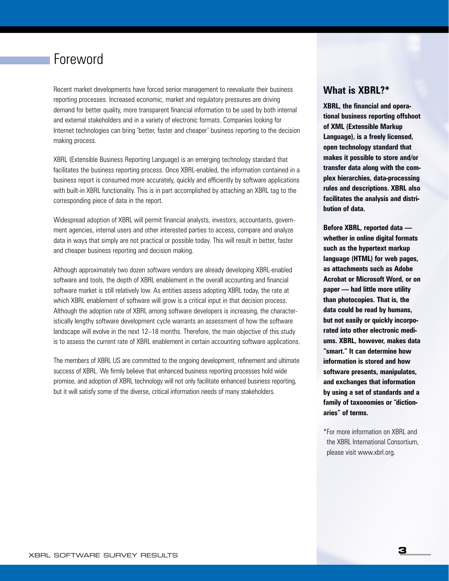### Foreword

Recent market developments have forced senior management to reevaluate their business reporting processes. Increased economic, market and regulatory pressures are driving demand for better quality, more transparent financial information to be used by both internal and external stakeholders and in a variety of electronic formats. Companies looking for Internet technologies can bring 'better, faster and cheaper' business reporting to the decision making process.

XBRL (Extensible Business Reporting Language) is an emerging technology standard that facilitates the business reporting process. Once XBRL-enabled, the information contained in a business report is consumed more accurately, quickly and efficiently by software applications with built-in XBRL functionality. This is in part accomplished by attaching an XBRL tag to the corresponding piece of data in the report.

Widespread adoption of XBRL will permit financial analysts, investors, accountants, government agencies, internal users and other interested parties to access, compare and analyze data in ways that simply are not practical or possible today. This will result in better, faster and cheaper business reporting and decision making.

Although approximately two dozen software vendors are already developing XBRL-enabled software and tools, the depth of XBRL enablement in the overall accounting and financial software market is still relatively low. As entities assess adopting XBRL today, the rate at which XBRL enablement of software will grow is a critical input in that decision process. Although the adoption rate of XBRL among software developers is increasing, the characteristically lengthy software development cycle warrants an assessment of how the software landscape will evolve in the next 12–18 months. Therefore, the main objective of this study is to assess the current rate of XBRL enablement in certain accounting software applications.

The members of XBRL US are committed to the ongoing development, refinement and ultimate success of XBRL. We firmly believe that enhanced business reporting processes hold wide promise, and adoption of XBRL technology will not only facilitate enhanced business reporting, but it will satisfy some of the diverse, critical information needs of many stakeholders.

#### **What is XBRL?\***

**XBRL, the financial and operational business reporting offshoot of XML (Extensible Markup Language), is a freely licensed, open technology standard that makes it possible to store and/or transfer data along with the complex hierarchies, data-processing rules and descriptions. XBRL also facilitates the analysis and distribution of data.**

**Before XBRL, reported data whether in online digital formats such as the hypertext markup language (HTML) for web pages, as attachments such as Adobe Acrobat or Microsoft Word, or on paper — had little more utility than photocopies. That is, the data could be read by humans, but not easily or quickly incorporated into other electronic mediums. XBRL, however, makes data "smart." It can determine how information is stored and how software presents, manipulates, and exchanges that information by using a set of standards and a family of taxonomies or "dictionaries" of terms.** 

\*For more information on XBRL and the XBRL International Consortium, please visit www.xbrl.org.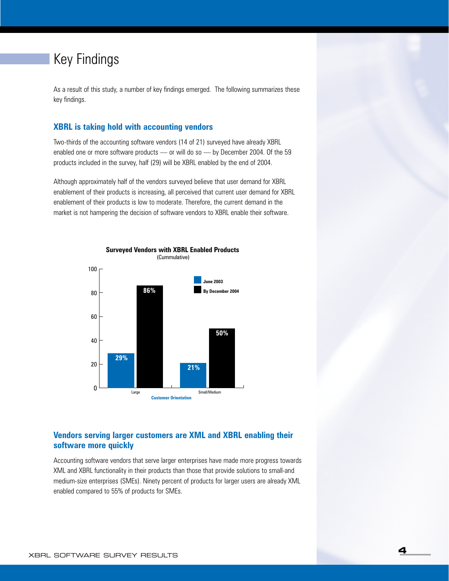### Key Findings

As a result of this study, a number of key findings emerged. The following summarizes these key findings.

#### **XBRL is taking hold with accounting vendors**

Two-thirds of the accounting software vendors (14 of 21) surveyed have already XBRL enabled one or more software products — or will do so — by December 2004. Of the 59 products included in the survey, half (29) will be XBRL enabled by the end of 2004.

Although approximately half of the vendors surveyed believe that user demand for XBRL enablement of their products is increasing, all perceived that current user demand for XBRL enablement of their products is low to moderate. Therefore, the current demand in the market is not hampering the decision of software vendors to XBRL enable their software.



#### **Vendors serving larger customers are XML and XBRL enabling their software more quickly**

Accounting software vendors that serve larger enterprises have made more progress towards XML and XBRL functionality in their products than those that provide solutions to small-and medium-size enterprises (SMEs). Ninety percent of products for larger users are already XML enabled compared to 55% of products for SMEs.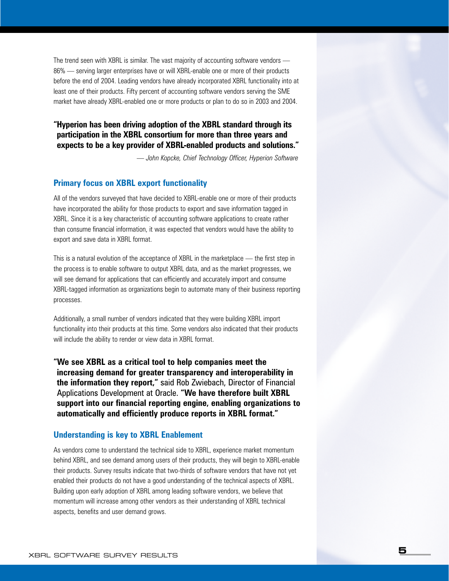The trend seen with XBRL is similar. The vast majority of accounting software vendors — 86% — serving larger enterprises have or will XBRL-enable one or more of their products before the end of 2004. Leading vendors have already incorporated XBRL functionality into at least one of their products. Fifty percent of accounting software vendors serving the SME market have already XBRL-enabled one or more products or plan to do so in 2003 and 2004.

**"Hyperion has been driving adoption of the XBRL standard through its participation in the XBRL consortium for more than three years and expects to be a key provider of XBRL-enabled products and solutions."**

*— John Kopcke, Chief Technology Officer, Hyperion Software*

#### **Primary focus on XBRL export functionality**

All of the vendors surveyed that have decided to XBRL-enable one or more of their products have incorporated the ability for those products to export and save information tagged in XBRL. Since it is a key characteristic of accounting software applications to create rather than consume financial information, it was expected that vendors would have the ability to export and save data in XBRL format.

This is a natural evolution of the acceptance of XBRL in the marketplace — the first step in the process is to enable software to output XBRL data, and as the market progresses, we will see demand for applications that can efficiently and accurately import and consume XBRL-tagged information as organizations begin to automate many of their business reporting processes.

Additionally, a small number of vendors indicated that they were building XBRL import functionality into their products at this time. Some vendors also indicated that their products will include the ability to render or view data in XBRL format.

**"We see XBRL as a critical tool to help companies meet the increasing demand for greater transparency and interoperability in the information they report,"** said Rob Zwiebach, Director of Financial Applications Development at Oracle. **"We have therefore built XBRL support into our financial reporting engine, enabling organizations to automatically and efficiently produce reports in XBRL format."**

#### **Understanding is key to XBRL Enablement**

As vendors come to understand the technical side to XBRL, experience market momentum behind XBRL, and see demand among users of their products, they will begin to XBRL-enable their products. Survey results indicate that two-thirds of software vendors that have not yet enabled their products do not have a good understanding of the technical aspects of XBRL. Building upon early adoption of XBRL among leading software vendors, we believe that momentum will increase among other vendors as their understanding of XBRL technical aspects, benefits and user demand grows.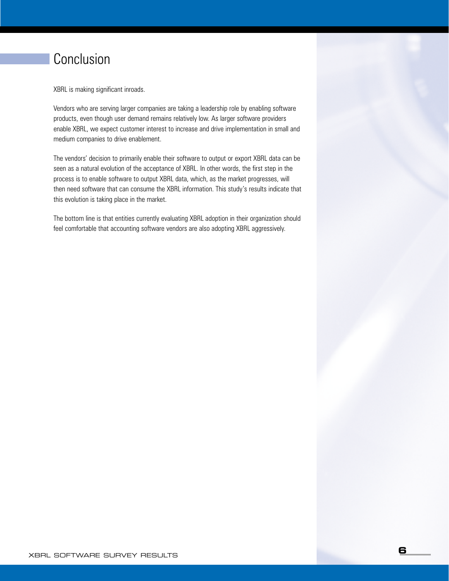## **Conclusion**

XBRL is making significant inroads.

Vendors who are serving larger companies are taking a leadership role by enabling software products, even though user demand remains relatively low. As larger software providers enable XBRL, we expect customer interest to increase and drive implementation in small and medium companies to drive enablement.

The vendors' decision to primarily enable their software to output or export XBRL data can be seen as a natural evolution of the acceptance of XBRL. In other words, the first step in the process is to enable software to output XBRL data, which, as the market progresses, will then need software that can consume the XBRL information. This study's results indicate that this evolution is taking place in the market.

The bottom line is that entities currently evaluating XBRL adoption in their organization should feel comfortable that accounting software vendors are also adopting XBRL aggressively.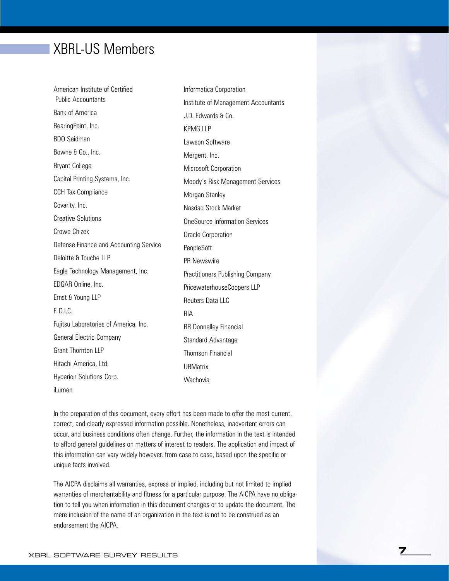### XBRL-US Members

American Institute of Certified Public Accountants Bank of America BearingPoint, Inc. BDO Seidman Bowne & Co., Inc. Bryant College Capital Printing Systems, Inc. CCH Tax Compliance Covarity, Inc. Creative Solutions Crowe Chizek Defense Finance and Accounting Service Deloitte & Touche LLP Eagle Technology Management, Inc. EDGAR Online, Inc. Ernst & Young LLP F. D.I.C. Fujitsu Laboratories of America, Inc. General Electric Company Grant Thornton LLP Hitachi America, Ltd. Hyperion Solutions Corp. RIA

Informatica Corporation Institute of Management Accountants J.D. Edwards & Co. KPMG LLP Lawson Software Mergent, Inc. Microsoft Corporation Moody's Risk Management Services Morgan Stanley Nasdaq Stock Market OneSource Information Services Oracle Corporation PeopleSoft PR Newswire Practitioners Publishing Company PricewaterhouseCoopers LLP Reuters Data LLC RR Donnelley Financial Standard Advantage Thomson Financial **UBMatrix Wachovia** 

iLumen

In the preparation of this document, every effort has been made to offer the most current, correct, and clearly expressed information possible. Nonetheless, inadvertent errors can occur, and business conditions often change. Further, the information in the text is intended to afford general guidelines on matters of interest to readers. The application and impact of this information can vary widely however, from case to case, based upon the specific or unique facts involved.

The AICPA disclaims all warranties, express or implied, including but not limited to implied warranties of merchantability and fitness for a particular purpose. The AICPA have no obligation to tell you when information in this document changes or to update the document. The mere inclusion of the name of an organization in the text is not to be construed as an endorsement the AICPA.